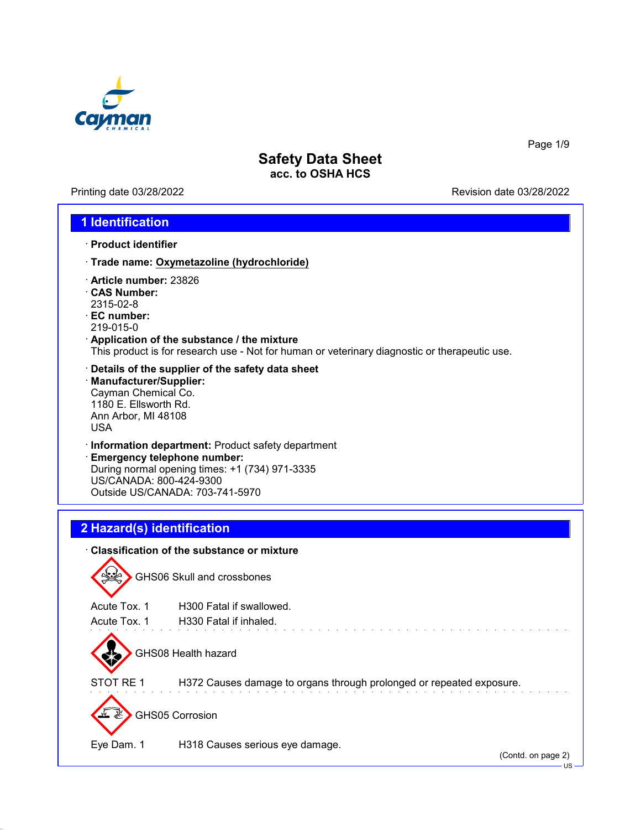

Printing date 03/28/2022 **Revision date 03/28/2022** 

Page 1/9

### **1 Identification**

- · **Product identifier**
- · **Trade name: Oxymetazoline (hydrochloride)**
- · **Article number:** 23826
- · **CAS Number:** 2315-02-8
- · **EC number:**
- 219-015-0
- · **Application of the substance / the mixture** This product is for research use - Not for human or veterinary diagnostic or therapeutic use.
- · **Details of the supplier of the safety data sheet** · **Manufacturer/Supplier:** Cayman Chemical Co. 1180 E. Ellsworth Rd. Ann Arbor, MI 48108 USA
- · **Information department:** Product safety department
- · **Emergency telephone number:** During normal opening times: +1 (734) 971-3335 US/CANADA: 800-424-9300 Outside US/CANADA: 703-741-5970

# **2 Hazard(s) identification**

| ⋅ Classification of the substance or mixture |                                                                      |  |  |  |
|----------------------------------------------|----------------------------------------------------------------------|--|--|--|
|                                              | <b>GHS06 Skull and crossbones</b>                                    |  |  |  |
| Acute Tox. 1                                 | H <sub>300</sub> Fatal if swallowed.                                 |  |  |  |
| Acute Tox, 1                                 | H330 Fatal if inhaled.                                               |  |  |  |
|                                              | GHS08 Health hazard                                                  |  |  |  |
| STOT RE 1                                    | H372 Causes damage to organs through prolonged or repeated exposure. |  |  |  |
| <b>GHS05 Corrosion</b>                       |                                                                      |  |  |  |
| Eye Dam. 1                                   | H318 Causes serious eye damage.<br>(Contd. on page 2)                |  |  |  |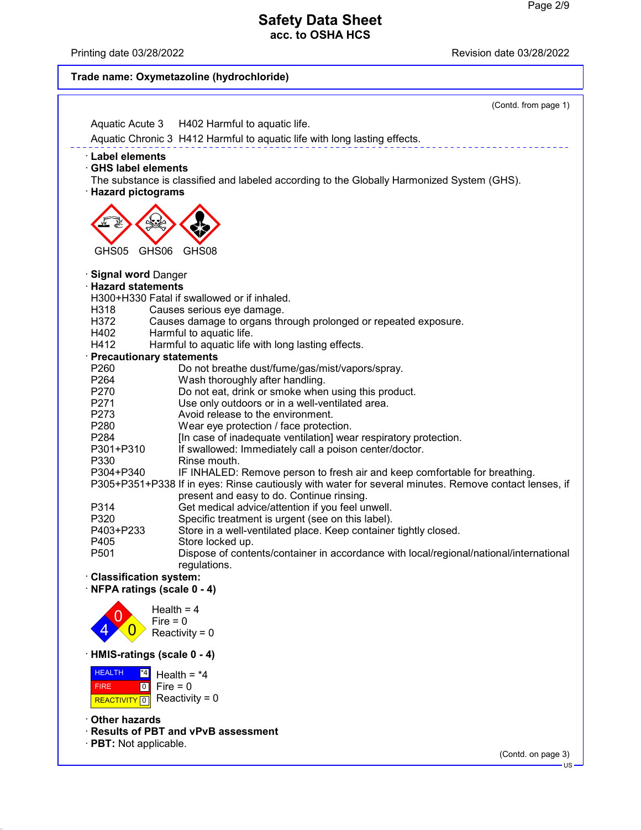Printing date 03/28/2022 **Printing date 03/28/2022** 

#### **Trade name: Oxymetazoline (hydrochloride)** (Contd. from page 1) Aquatic Acute 3 H402 Harmful to aquatic life. Aquatic Chronic 3 H412 Harmful to aquatic life with long lasting effects. · **Label elements** · **GHS label elements** The substance is classified and labeled according to the Globally Harmonized System (GHS). · **Hazard pictograms** de la Card GHS05 GHS06 GHS08 **design**  $\Leftrightarrow$ · **Signal word** Danger · **Hazard statements** H300+H330 Fatal if swallowed or if inhaled. H318 Causes serious eye damage. Causes damage to organs through prolonged or repeated exposure. H402 Harmful to aquatic life.<br>H412 Harmful to aquatic life Harmful to aquatic life with long lasting effects. · **Precautionary statements** P260 Do not breathe dust/fume/gas/mist/vapors/spray.<br>P264 Wash thoroughly after handling. Wash thoroughly after handling. P270 Do not eat, drink or smoke when using this product.<br>P271 Use only outdoors or in a well-ventilated area. P271 Use only outdoors or in a well-ventilated area.<br>P273 Avoid release to the environment. P273 Avoid release to the environment.<br>P280 Wear eve protection / face protect Wear eye protection / face protection. P284 [In case of inadequate ventilation] wear respiratory protection.<br>P301+P310 If swallowed: Immediately call a poison center/doctor. If swallowed: Immediately call a poison center/doctor. P330 Rinse mouth.<br>P304+P340 IF INHALED: IF INHALED: Remove person to fresh air and keep comfortable for breathing. P305+P351+P338 If in eyes: Rinse cautiously with water for several minutes. Remove contact lenses, if present and easy to do. Continue rinsing. P314 Get medical advice/attention if you feel unwell.<br>P320 Specific treatment is urgent (see on this label). P320 Specific treatment is urgent (see on this label).<br>P403+P233 Store in a well-ventilated place. Keep container Store in a well-ventilated place. Keep container tightly closed. P405 Store locked up.<br>P501 Dispose of conte Dispose of contents/container in accordance with local/regional/national/international regulations. · **Classification system:** · **NFPA ratings (scale 0 - 4)** 4 0  $\overline{\mathbf{0}}$ Health  $= 4$  $Fire = 0$ Reactivity =  $0$ · **HMIS-ratings (scale 0 - 4)** HEALTH FIRE **REACTIVITY** 0  $\overline{4}$  $\boxed{0}$ Health =  $*4$  $Fire = 0$ Reactivity =  $0$ · **Other hazards**

· **Results of PBT and vPvB assessment**

· **PBT:** Not applicable.

(Contd. on page 3)

US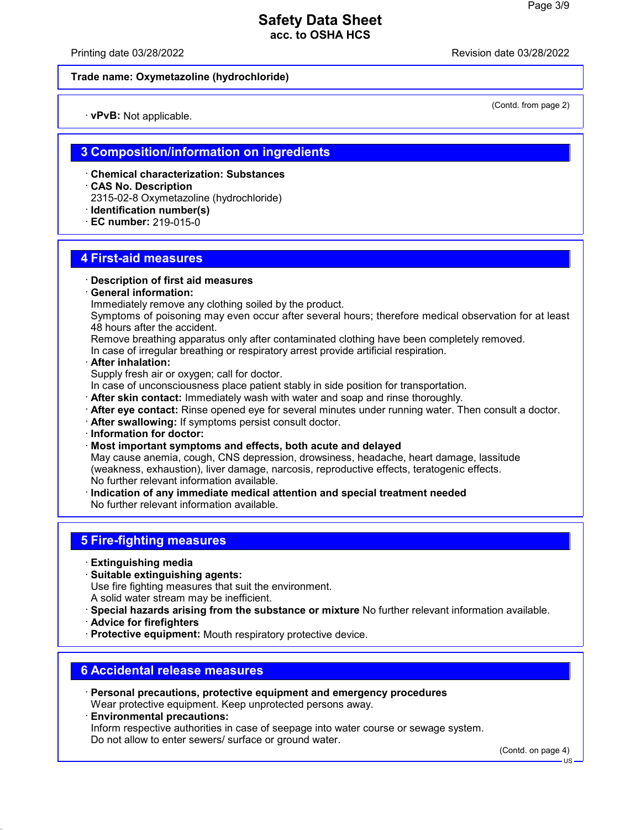Printing date 03/28/2022 Revision date 03/28/2022

(Contd. from page 2)

#### **Trade name: Oxymetazoline (hydrochloride)**

· **vPvB:** Not applicable.

### **3 Composition/information on ingredients**

- · **Chemical characterization: Substances**
- · **CAS No. Description**
- 2315-02-8 Oxymetazoline (hydrochloride)
- · **Identification number(s)**
- · **EC number:** 219-015-0

### **4 First-aid measures**

- · **Description of first aid measures**
- · **General information:**
- Immediately remove any clothing soiled by the product.
- Symptoms of poisoning may even occur after several hours; therefore medical observation for at least 48 hours after the accident.
- Remove breathing apparatus only after contaminated clothing have been completely removed.
- In case of irregular breathing or respiratory arrest provide artificial respiration.
- · **After inhalation:**
- Supply fresh air or oxygen; call for doctor.
- In case of unconsciousness place patient stably in side position for transportation.
- · **After skin contact:** Immediately wash with water and soap and rinse thoroughly.
- · **After eye contact:** Rinse opened eye for several minutes under running water. Then consult a doctor.
- · **After swallowing:** If symptoms persist consult doctor.
- · **Information for doctor:**
- · **Most important symptoms and effects, both acute and delayed**

May cause anemia, cough, CNS depression, drowsiness, headache, heart damage, lassitude (weakness, exhaustion), liver damage, narcosis, reproductive effects, teratogenic effects. No further relevant information available.

· **Indication of any immediate medical attention and special treatment needed** No further relevant information available.

## **5 Fire-fighting measures**

- · **Extinguishing media**
- · **Suitable extinguishing agents:**
- Use fire fighting measures that suit the environment.
- A solid water stream may be inefficient.
- · **Special hazards arising from the substance or mixture** No further relevant information available. · **Advice for firefighters**
- · **Protective equipment:** Mouth respiratory protective device.

### **6 Accidental release measures**

- · **Personal precautions, protective equipment and emergency procedures** Wear protective equipment. Keep unprotected persons away.
- · **Environmental precautions:** Inform respective authorities in case of seepage into water course or sewage system. Do not allow to enter sewers/ surface or ground water.

(Contd. on page 4)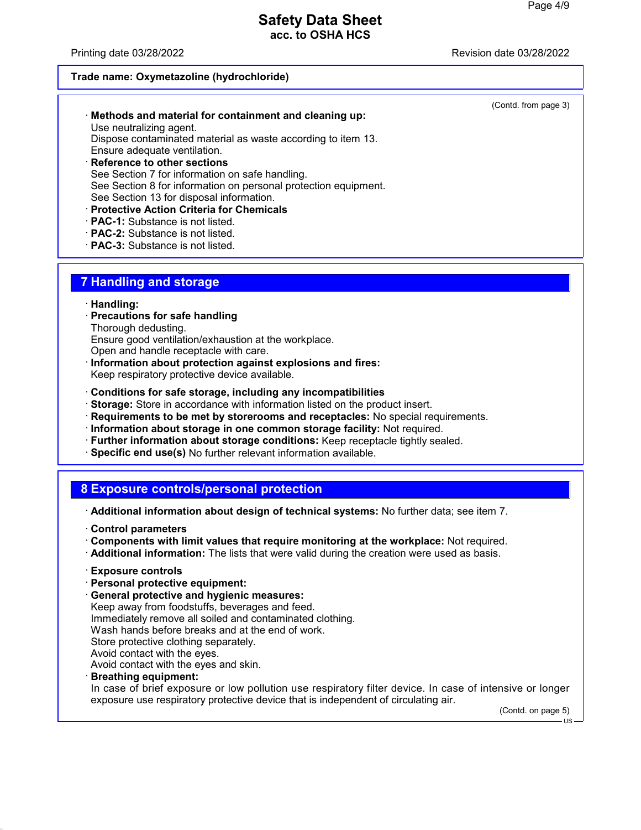Printing date 03/28/2022 **Printing date 03/28/2022** 

(Contd. from page 3)

#### **Trade name: Oxymetazoline (hydrochloride)**

| Methods and material for containment and cleaning up:        |
|--------------------------------------------------------------|
| Use neutralizing agent.                                      |
| Dispose contaminated material as waste according to item 13. |
| Ensure adequate ventilation.                                 |

- · **Reference to other sections** See Section 7 for information on safe handling. See Section 8 for information on personal protection equipment. See Section 13 for disposal information.
- · **Protective Action Criteria for Chemicals**
- · **PAC-1:** Substance is not listed.
- · **PAC-2:** Substance is not listed.
- · **PAC-3:** Substance is not listed.

### **7 Handling and storage**

#### · **Handling:**

· **Precautions for safe handling**

Thorough dedusting.

Ensure good ventilation/exhaustion at the workplace.

- Open and handle receptacle with care.
- · **Information about protection against explosions and fires:**
- Keep respiratory protective device available.
- · **Conditions for safe storage, including any incompatibilities**
- · **Storage:** Store in accordance with information listed on the product insert.
- · **Requirements to be met by storerooms and receptacles:** No special requirements.
- · **Information about storage in one common storage facility:** Not required.
- · **Further information about storage conditions:** Keep receptacle tightly sealed.
- · **Specific end use(s)** No further relevant information available.

## **8 Exposure controls/personal protection**

- · **Additional information about design of technical systems:** No further data; see item 7.
- · **Control parameters**
- · **Components with limit values that require monitoring at the workplace:** Not required.
- · **Additional information:** The lists that were valid during the creation were used as basis.
- · **Exposure controls**
- · **Personal protective equipment:**
- · **General protective and hygienic measures:**

Keep away from foodstuffs, beverages and feed. Immediately remove all soiled and contaminated clothing. Wash hands before breaks and at the end of work. Store protective clothing separately. Avoid contact with the eyes. Avoid contact with the eyes and skin.

· **Breathing equipment:**

In case of brief exposure or low pollution use respiratory filter device. In case of intensive or longer exposure use respiratory protective device that is independent of circulating air.

(Contd. on page 5)

 $H<sub>S</sub>$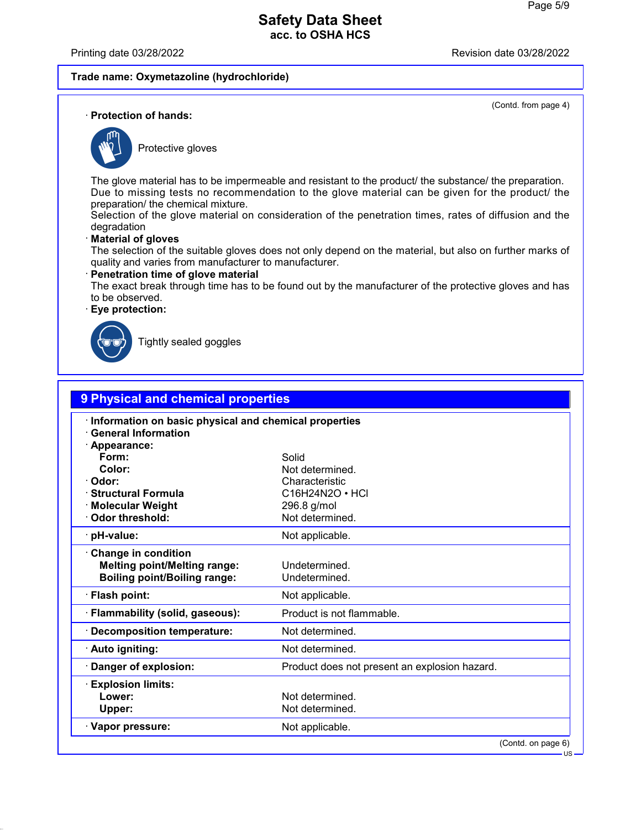Printing date 03/28/2022 Revision date 03/28/2022

#### **Trade name: Oxymetazoline (hydrochloride)**

(Contd. from page 4)

· **Protection of hands:**



Protective gloves

The glove material has to be impermeable and resistant to the product/ the substance/ the preparation. Due to missing tests no recommendation to the glove material can be given for the product/ the preparation/ the chemical mixture.

Selection of the glove material on consideration of the penetration times, rates of diffusion and the degradation

#### · **Material of gloves**

The selection of the suitable gloves does not only depend on the material, but also on further marks of quality and varies from manufacturer to manufacturer.

### · **Penetration time of glove material**

The exact break through time has to be found out by the manufacturer of the protective gloves and has to be observed.

· **Eye protection:**



Tightly sealed goggles

| 9 Physical and chemical properties                                                                       |                                               |  |  |  |
|----------------------------------------------------------------------------------------------------------|-----------------------------------------------|--|--|--|
| Information on basic physical and chemical properties<br><b>General Information</b><br>Appearance:       |                                               |  |  |  |
| Form:                                                                                                    | Solid                                         |  |  |  |
| Color:                                                                                                   | Not determined.                               |  |  |  |
| Odor:                                                                                                    | Characteristic                                |  |  |  |
| <b>Structural Formula</b>                                                                                | $C16H24N2O \cdot HCl$                         |  |  |  |
| <b>Molecular Weight</b>                                                                                  | 296.8 g/mol                                   |  |  |  |
| Odor threshold:                                                                                          | Not determined.                               |  |  |  |
| pH-value:                                                                                                | Not applicable.                               |  |  |  |
| <b>Change in condition</b><br><b>Melting point/Melting range:</b><br><b>Boiling point/Boiling range:</b> | Undetermined.<br>Undetermined.                |  |  |  |
| · Flash point:                                                                                           | Not applicable.                               |  |  |  |
| Flammability (solid, gaseous):                                                                           | Product is not flammable.                     |  |  |  |
| <b>Decomposition temperature:</b>                                                                        | Not determined.                               |  |  |  |
| · Auto igniting:                                                                                         | Not determined.                               |  |  |  |
| Danger of explosion:                                                                                     | Product does not present an explosion hazard. |  |  |  |
| <b>Explosion limits:</b>                                                                                 |                                               |  |  |  |
| Lower:                                                                                                   | Not determined.                               |  |  |  |
| Upper:                                                                                                   | Not determined.                               |  |  |  |
| · Vapor pressure:                                                                                        | Not applicable.                               |  |  |  |
|                                                                                                          | (Contd. on page 6)                            |  |  |  |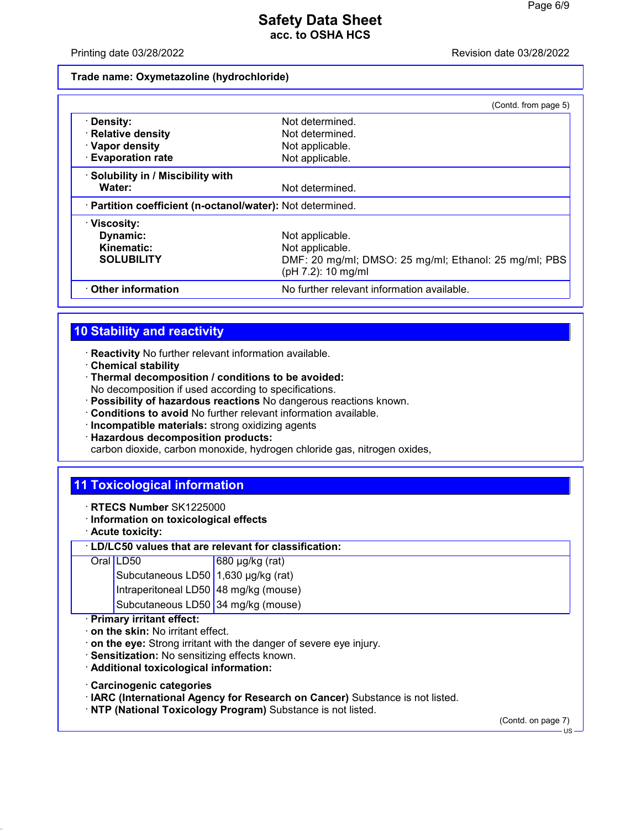#### Printing date 03/28/2022 Revision date 03/28/2022

#### **Trade name: Oxymetazoline (hydrochloride)**

|                                                            | (Contd. from page 5)                                                        |
|------------------------------------------------------------|-----------------------------------------------------------------------------|
| · Density:                                                 | Not determined.                                                             |
| · Relative density                                         | Not determined.                                                             |
| · Vapor density                                            | Not applicable.                                                             |
| <b>Evaporation rate</b>                                    | Not applicable.                                                             |
| · Solubility in / Miscibility with                         |                                                                             |
| Water:                                                     | Not determined.                                                             |
| · Partition coefficient (n-octanol/water): Not determined. |                                                                             |
| $\cdot$ Viscosity:                                         |                                                                             |
| Dynamic:                                                   | Not applicable.                                                             |
| Kinematic:                                                 | Not applicable.                                                             |
| <b>SOLUBILITY</b>                                          | DMF: 20 mg/ml; DMSO: 25 mg/ml; Ethanol: 25 mg/ml; PBS<br>(pH 7.2): 10 mg/ml |
| Other information                                          | No further relevant information available.                                  |

# **10 Stability and reactivity**

- · **Reactivity** No further relevant information available.
- · **Chemical stability**
- · **Thermal decomposition / conditions to be avoided:** No decomposition if used according to specifications.
- · **Possibility of hazardous reactions** No dangerous reactions known.
- · **Conditions to avoid** No further relevant information available.
- · **Incompatible materials:** strong oxidizing agents
- · **Hazardous decomposition products:**

carbon dioxide, carbon monoxide, hydrogen chloride gas, nitrogen oxides,

## **11 Toxicological information**

- · **RTECS Number** SK1225000
- · **Information on toxicological effects**
- · **Acute toxicity:**

#### · **LD/LC50 values that are relevant for classification:**

| Oral LD50<br>LD50 680 µg/kg (rat)<br>Subcutaneous LD50 1,630 µg/kg (rat)<br>Intraperitoneal LD50 48 mg/kg (mouse) |
|-------------------------------------------------------------------------------------------------------------------|

Subcutaneous LD50 34 mg/kg (mouse)

### · **Primary irritant effect:**

- · **on the skin:** No irritant effect.
- · **on the eye:** Strong irritant with the danger of severe eye injury.
- · **Sensitization:** No sensitizing effects known.
- · **Additional toxicological information:**
- · **Carcinogenic categories**
- · **IARC (International Agency for Research on Cancer)** Substance is not listed.
- · **NTP (National Toxicology Program)** Substance is not listed.

(Contd. on page 7)

US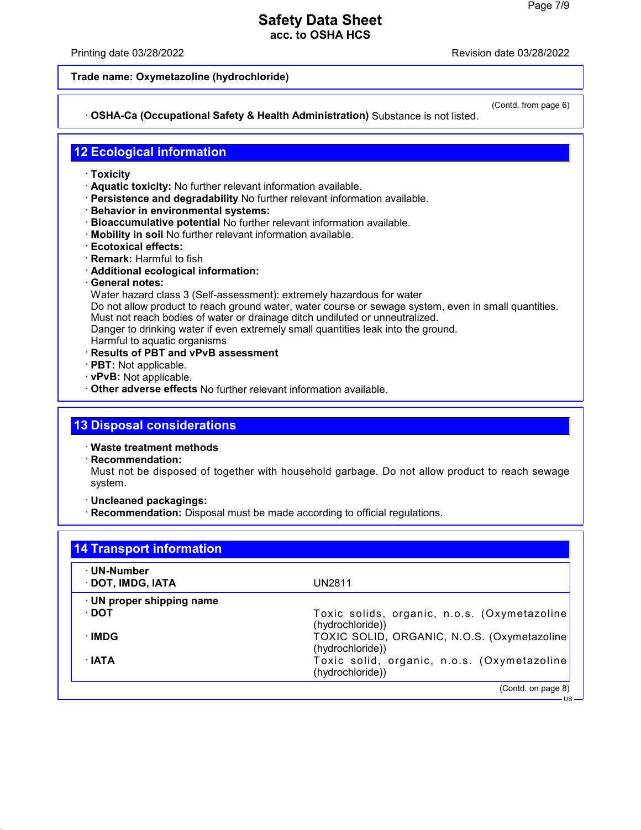Printing date 03/28/2022 Revision date 03/28/2022

#### **Trade name: Oxymetazoline (hydrochloride)**

### · **OSHA-Ca (Occupational Safety & Health Administration)** Substance is not listed.

(Contd. from page 6)

US

## **12 Ecological information**

- · **Toxicity**
- · **Aquatic toxicity:** No further relevant information available.
- · **Persistence and degradability** No further relevant information available.
- · **Behavior in environmental systems:**
- · **Bioaccumulative potential** No further relevant information available.
- · **Mobility in soil** No further relevant information available.
- · **Ecotoxical effects:**
- · **Remark:** Harmful to fish
- · **Additional ecological information:**
- · **General notes:**

Water hazard class 3 (Self-assessment): extremely hazardous for water

Do not allow product to reach ground water, water course or sewage system, even in small quantities. Must not reach bodies of water or drainage ditch undiluted or unneutralized.

Danger to drinking water if even extremely small quantities leak into the ground.

- Harmful to aquatic organisms
- · **Results of PBT and vPvB assessment**
- · **PBT:** Not applicable.
- · **vPvB:** Not applicable.
- · **Other adverse effects** No further relevant information available.

## **13 Disposal considerations**

· **Waste treatment methods**

· **Recommendation:**

Must not be disposed of together with household garbage. Do not allow product to reach sewage system.

- · **Uncleaned packagings:**
- · **Recommendation:** Disposal must be made according to official regulations.

| <b>14 Transport information</b>  |                                                                  |  |  |
|----------------------------------|------------------------------------------------------------------|--|--|
| · UN-Number<br>· DOT, IMDG, IATA | UN2811                                                           |  |  |
| $\cdot$ UN proper shipping name  |                                                                  |  |  |
| ∙ DOT                            | Toxic solids, organic, n.o.s. (Oxymetazoline<br>(hydrochloride)) |  |  |
| ∴IMDG                            | TOXIC SOLID, ORGANIC, N.O.S. (Oxymetazoline<br>(hydrochloride))  |  |  |
| ∴IATA                            | Toxic solid, organic, n.o.s. (Oxymetazoline<br>(hydrochloride))  |  |  |
|                                  | (Contd. on page 8)                                               |  |  |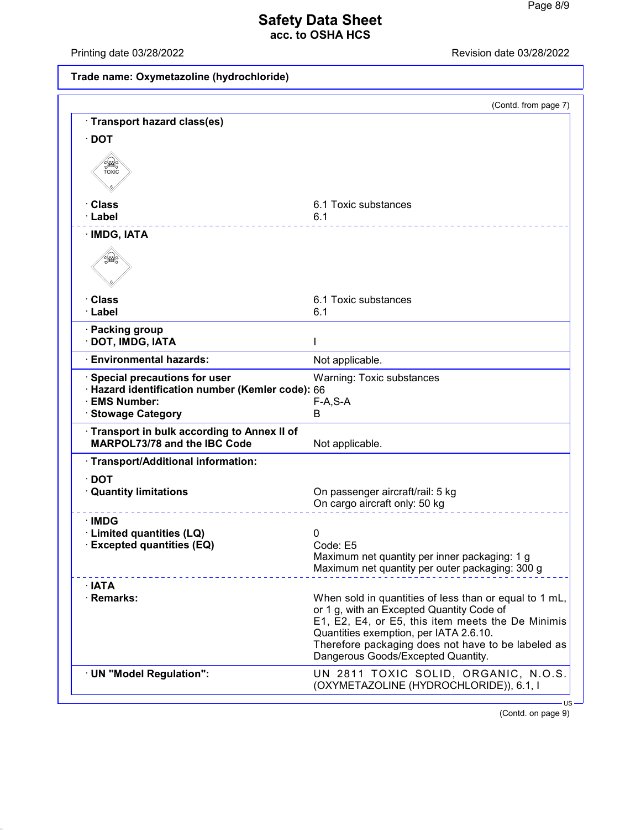Printing date 03/28/2022 Revision date 03/28/2022

# **Trade name: Oxymetazoline (hydrochloride)**

|                                                                                                                              | (Contd. from page 7)                                                                                                                                                                                                                                                                           |
|------------------------------------------------------------------------------------------------------------------------------|------------------------------------------------------------------------------------------------------------------------------------------------------------------------------------------------------------------------------------------------------------------------------------------------|
| Transport hazard class(es)                                                                                                   |                                                                                                                                                                                                                                                                                                |
| $\cdot$ DOT                                                                                                                  |                                                                                                                                                                                                                                                                                                |
| SSSS<br>TOXIC                                                                                                                |                                                                                                                                                                                                                                                                                                |
| <b>· Class</b>                                                                                                               | 6.1 Toxic substances                                                                                                                                                                                                                                                                           |
| · Label                                                                                                                      | 6.1                                                                                                                                                                                                                                                                                            |
| · IMDG, IATA                                                                                                                 |                                                                                                                                                                                                                                                                                                |
| ں                                                                                                                            |                                                                                                                                                                                                                                                                                                |
| · Class                                                                                                                      | 6.1 Toxic substances                                                                                                                                                                                                                                                                           |
| · Label                                                                                                                      | 6.1                                                                                                                                                                                                                                                                                            |
| · Packing group<br>· DOT, IMDG, IATA                                                                                         |                                                                                                                                                                                                                                                                                                |
| <b>Environmental hazards:</b>                                                                                                | Not applicable.                                                                                                                                                                                                                                                                                |
| Special precautions for user<br>· Hazard identification number (Kemler code): 66<br>· EMS Number:<br><b>Stowage Category</b> | Warning: Toxic substances<br>$F-A, S-A$<br>B                                                                                                                                                                                                                                                   |
| Transport in bulk according to Annex II of<br><b>MARPOL73/78 and the IBC Code</b>                                            | Not applicable.                                                                                                                                                                                                                                                                                |
| · Transport/Additional information:                                                                                          |                                                                                                                                                                                                                                                                                                |
| $\cdot$ DOT                                                                                                                  |                                                                                                                                                                                                                                                                                                |
| <b>Quantity limitations</b>                                                                                                  | On passenger aircraft/rail: 5 kg                                                                                                                                                                                                                                                               |
|                                                                                                                              | On cargo aircraft only: 50 kg                                                                                                                                                                                                                                                                  |
| ∴IMDG                                                                                                                        |                                                                                                                                                                                                                                                                                                |
| · Limited quantities (LQ)<br><b>Excepted quantities (EQ)</b>                                                                 | 0<br>Code: E5                                                                                                                                                                                                                                                                                  |
|                                                                                                                              | Maximum net quantity per inner packaging: 1 g<br>Maximum net quantity per outer packaging: 300 g                                                                                                                                                                                               |
| $\cdot$ IATA                                                                                                                 |                                                                                                                                                                                                                                                                                                |
| · Remarks:                                                                                                                   | When sold in quantities of less than or equal to 1 mL,<br>or 1 g, with an Excepted Quantity Code of<br>E1, E2, E4, or E5, this item meets the De Minimis<br>Quantities exemption, per IATA 2.6.10.<br>Therefore packaging does not have to be labeled as<br>Dangerous Goods/Excepted Quantity. |
| · UN "Model Regulation":                                                                                                     | UN 2811 TOXIC SOLID, ORGANIC, N.O.S.<br>(OXYMETAZOLINE (HYDROCHLORIDE)), 6.1, I                                                                                                                                                                                                                |

(Contd. on page 9)